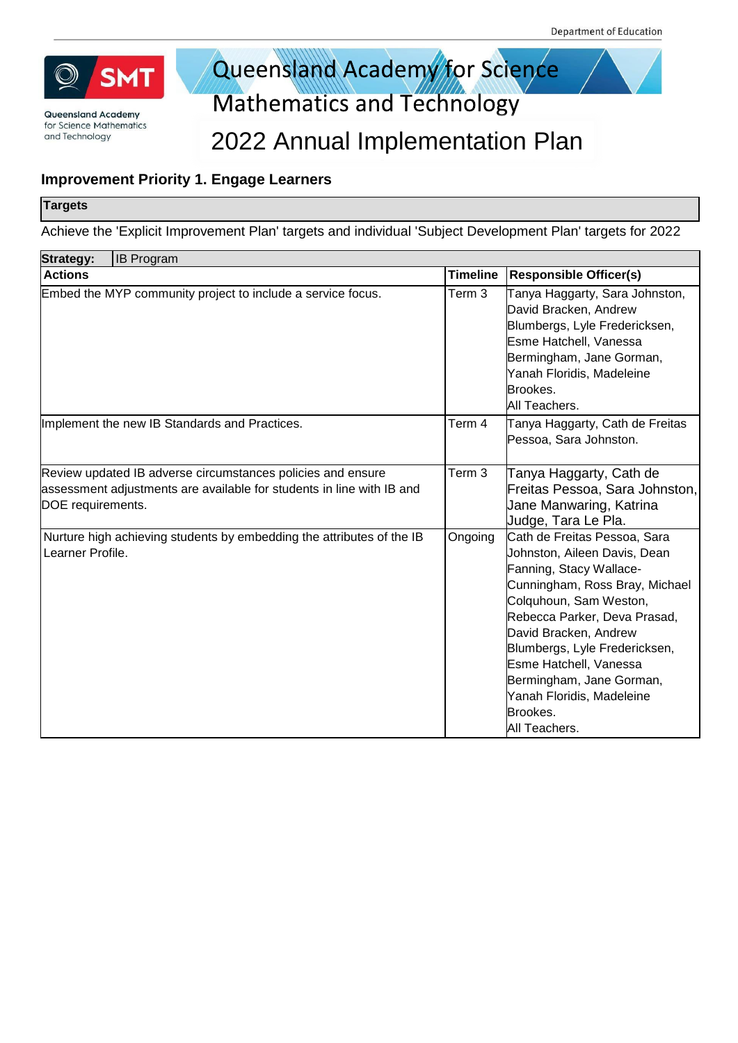

## Queensland Academy for Science

**Mathematics and Technology** 

#### 2022 Annual Implementation Plan

#### **Improvement Priority 1. Engage Learners**

#### **Targets**

Achieve the 'Explicit Improvement Plan' targets and individual 'Subject Development Plan' targets for 2022

| <b>Strategy:</b><br><b>IB Program</b>                                                                                                                     |                   |                                                                                                                                                                                                                                                                                                                                                               |
|-----------------------------------------------------------------------------------------------------------------------------------------------------------|-------------------|---------------------------------------------------------------------------------------------------------------------------------------------------------------------------------------------------------------------------------------------------------------------------------------------------------------------------------------------------------------|
| <b>Actions</b>                                                                                                                                            | <b>Timeline</b>   | <b>Responsible Officer(s)</b>                                                                                                                                                                                                                                                                                                                                 |
| Embed the MYP community project to include a service focus.                                                                                               | Term <sub>3</sub> | Tanya Haggarty, Sara Johnston,<br>David Bracken, Andrew<br>Blumbergs, Lyle Fredericksen,<br>Esme Hatchell, Vanessa<br>Bermingham, Jane Gorman,<br>Yanah Floridis, Madeleine<br>Brookes.<br>All Teachers.                                                                                                                                                      |
| Implement the new IB Standards and Practices.                                                                                                             | Term 4            | Tanya Haggarty, Cath de Freitas<br>Pessoa, Sara Johnston.                                                                                                                                                                                                                                                                                                     |
| Review updated IB adverse circumstances policies and ensure<br>assessment adjustments are available for students in line with IB and<br>DOE requirements. | Term 3            | Tanya Haggarty, Cath de<br>Freitas Pessoa, Sara Johnston,<br>Jane Manwaring, Katrina<br>Judge, Tara Le Pla.                                                                                                                                                                                                                                                   |
| Nurture high achieving students by embedding the attributes of the IB<br>Learner Profile.                                                                 | Ongoing           | Cath de Freitas Pessoa, Sara<br>Johnston, Aileen Davis, Dean<br>Fanning, Stacy Wallace-<br>Cunningham, Ross Bray, Michael<br>Colquhoun, Sam Weston,<br>Rebecca Parker, Deva Prasad,<br>David Bracken, Andrew<br>Blumbergs, Lyle Fredericksen,<br>Esme Hatchell, Vanessa<br>Bermingham, Jane Gorman,<br>Yanah Floridis, Madeleine<br>Brookes.<br>All Teachers. |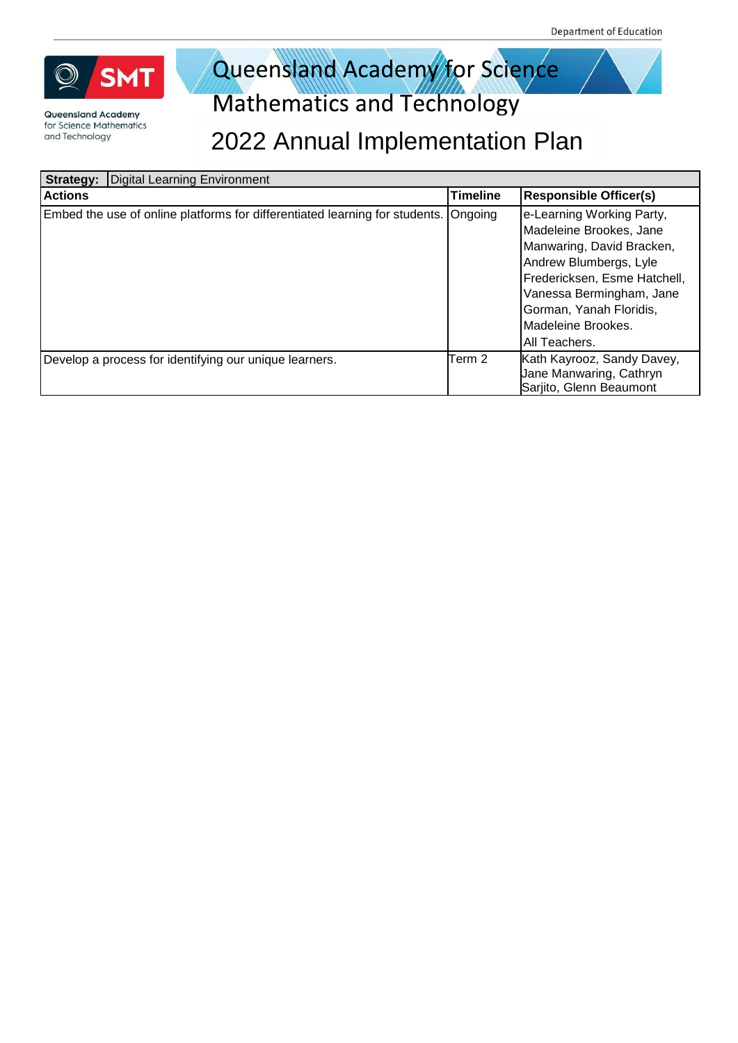

# Queensland Academy for Science

| <b>Digital Learning Environment</b><br>Strategy:                            |                 |                                                                                                                                                                                                                                           |
|-----------------------------------------------------------------------------|-----------------|-------------------------------------------------------------------------------------------------------------------------------------------------------------------------------------------------------------------------------------------|
| <b>Actions</b>                                                              | <b>Timeline</b> | <b>Responsible Officer(s)</b>                                                                                                                                                                                                             |
| Embed the use of online platforms for differentiated learning for students. | Ongoing         | e-Learning Working Party,<br>Madeleine Brookes, Jane<br>Manwaring, David Bracken,<br>Andrew Blumbergs, Lyle<br>Fredericksen, Esme Hatchell,<br>Vanessa Bermingham, Jane<br>Gorman, Yanah Floridis,<br>Madeleine Brookes.<br>All Teachers. |
| Develop a process for identifying our unique learners.                      | Term 2          | Kath Kayrooz, Sandy Davey,<br>Jane Manwaring, Cathryn<br>Sarjito, Glenn Beaumont                                                                                                                                                          |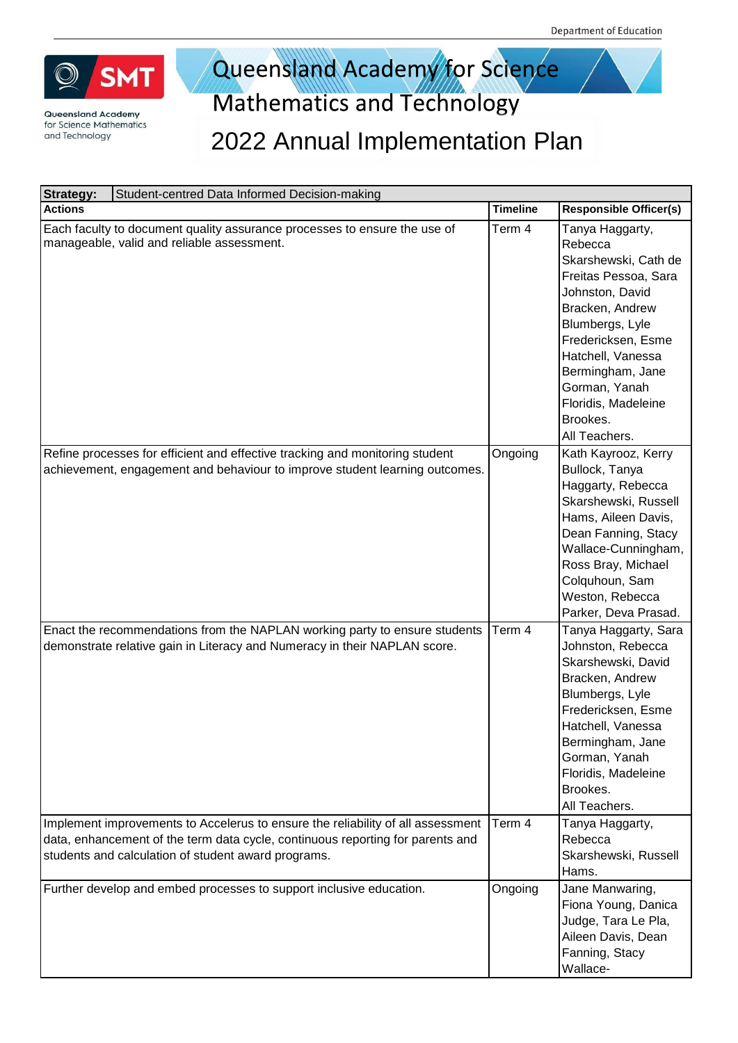

# Queensland Academy for Science

| <b>Strategy:</b> | Student-centred Data Informed Decision-making                                                                                                                                                                            |                 |                                                                                                                                                                                                                                                                         |
|------------------|--------------------------------------------------------------------------------------------------------------------------------------------------------------------------------------------------------------------------|-----------------|-------------------------------------------------------------------------------------------------------------------------------------------------------------------------------------------------------------------------------------------------------------------------|
| <b>Actions</b>   |                                                                                                                                                                                                                          | <b>Timeline</b> | <b>Responsible Officer(s)</b>                                                                                                                                                                                                                                           |
|                  | Each faculty to document quality assurance processes to ensure the use of<br>manageable, valid and reliable assessment.                                                                                                  | Term 4          | Tanya Haggarty,<br>Rebecca<br>Skarshewski, Cath de<br>Freitas Pessoa, Sara<br>Johnston, David<br>Bracken, Andrew<br>Blumbergs, Lyle<br>Fredericksen, Esme<br>Hatchell, Vanessa<br>Bermingham, Jane<br>Gorman, Yanah<br>Floridis, Madeleine<br>Brookes.<br>All Teachers. |
|                  | Refine processes for efficient and effective tracking and monitoring student<br>achievement, engagement and behaviour to improve student learning outcomes.                                                              | Ongoing         | Kath Kayrooz, Kerry<br>Bullock, Tanya<br>Haggarty, Rebecca<br>Skarshewski, Russell<br>Hams, Aileen Davis,<br>Dean Fanning, Stacy<br>Wallace-Cunningham,<br>Ross Bray, Michael<br>Colquhoun, Sam<br>Weston, Rebecca<br>Parker, Deva Prasad.                              |
|                  | Enact the recommendations from the NAPLAN working party to ensure students<br>demonstrate relative gain in Literacy and Numeracy in their NAPLAN score.                                                                  | Term 4          | Tanya Haggarty, Sara<br>Johnston, Rebecca<br>Skarshewski, David<br>Bracken, Andrew<br>Blumbergs, Lyle<br>Fredericksen, Esme<br>Hatchell, Vanessa<br>Bermingham, Jane<br>Gorman, Yanah<br>Floridis, Madeleine<br>Brookes.<br>All Teachers.                               |
|                  | Implement improvements to Accelerus to ensure the reliability of all assessment<br>data, enhancement of the term data cycle, continuous reporting for parents and<br>students and calculation of student award programs. | Term 4          | Tanya Haggarty,<br>Rebecca<br>Skarshewski, Russell<br>Hams.                                                                                                                                                                                                             |
|                  | Further develop and embed processes to support inclusive education.                                                                                                                                                      | Ongoing         | Jane Manwaring,<br>Fiona Young, Danica<br>Judge, Tara Le Pla,<br>Aileen Davis, Dean<br>Fanning, Stacy<br>Wallace-                                                                                                                                                       |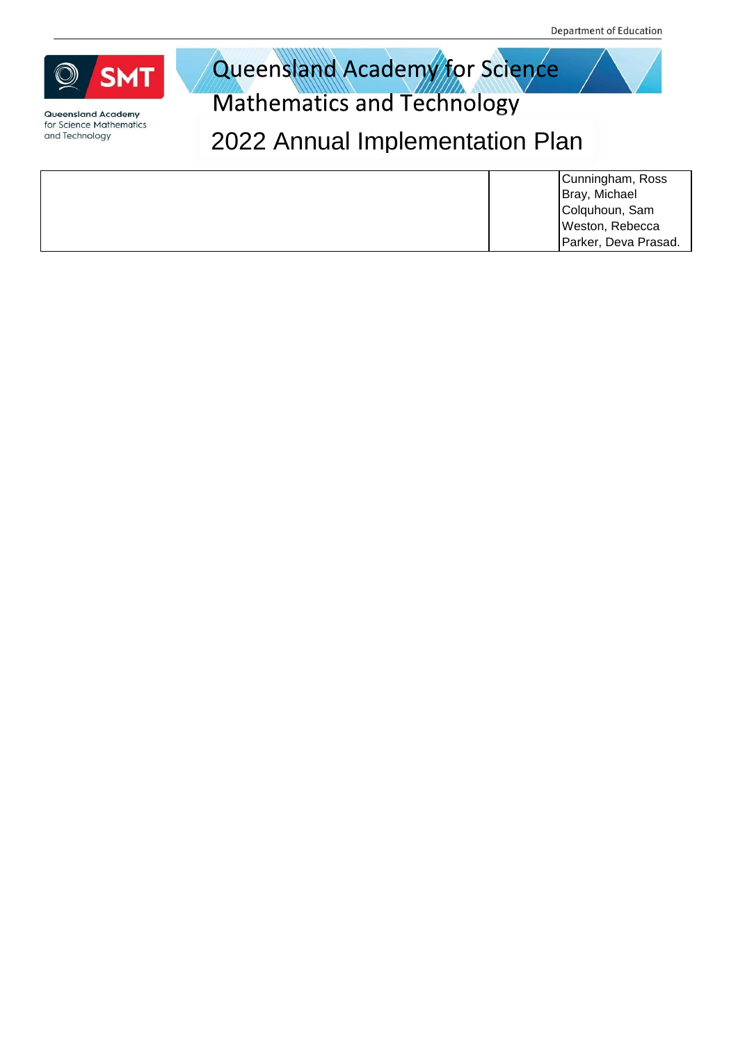



**Mathematics and Technology** 

| Cunningham, Ross     |
|----------------------|
| Bray, Michael        |
| Colquhoun, Sam       |
| Weston, Rebecca      |
| Parker, Deva Prasad. |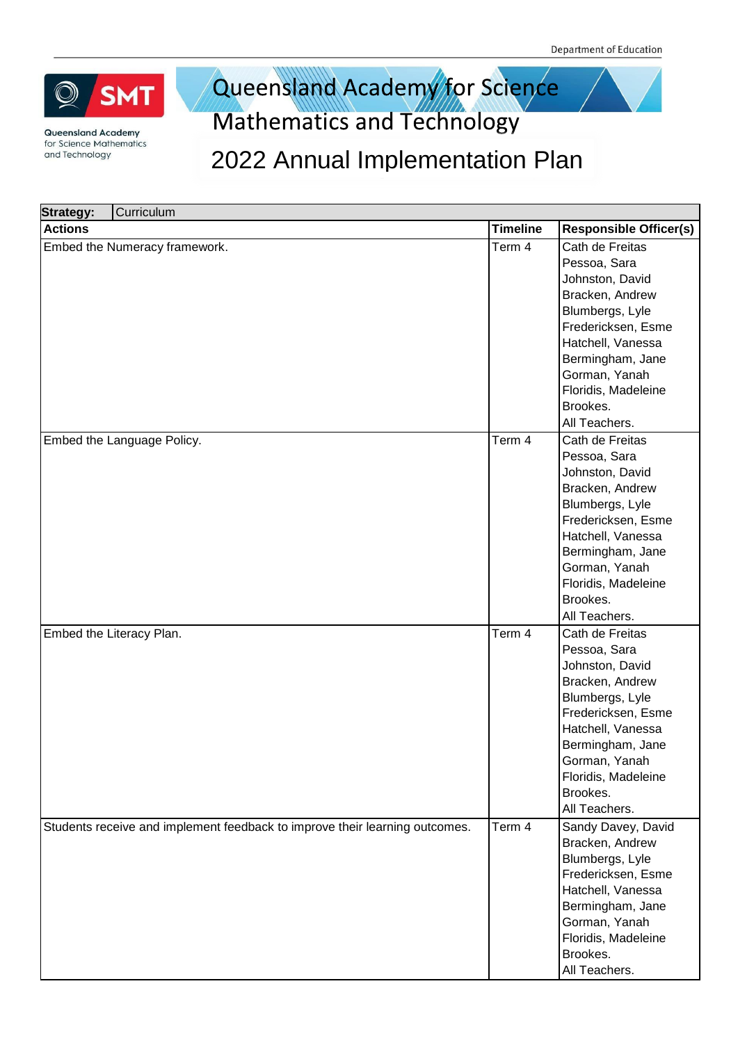

### Queensland Academy for Science **Mathematics and Technology**

| <b>Strategy:</b> | Curriculum                                                                  |                 |                               |
|------------------|-----------------------------------------------------------------------------|-----------------|-------------------------------|
| <b>Actions</b>   |                                                                             | <b>Timeline</b> | <b>Responsible Officer(s)</b> |
|                  | Embed the Numeracy framework.                                               | Term 4          | Cath de Freitas               |
|                  |                                                                             |                 | Pessoa, Sara                  |
|                  |                                                                             |                 | Johnston, David               |
|                  |                                                                             |                 | Bracken, Andrew               |
|                  |                                                                             |                 | Blumbergs, Lyle               |
|                  |                                                                             |                 | Fredericksen, Esme            |
|                  |                                                                             |                 | Hatchell, Vanessa             |
|                  |                                                                             |                 | Bermingham, Jane              |
|                  |                                                                             |                 | Gorman, Yanah                 |
|                  |                                                                             |                 | Floridis, Madeleine           |
|                  |                                                                             |                 | Brookes.                      |
|                  |                                                                             |                 | All Teachers.                 |
|                  | Embed the Language Policy.                                                  | Term 4          | Cath de Freitas               |
|                  |                                                                             |                 | Pessoa, Sara                  |
|                  |                                                                             |                 | Johnston, David               |
|                  |                                                                             |                 | Bracken, Andrew               |
|                  |                                                                             |                 | Blumbergs, Lyle               |
|                  |                                                                             |                 | Fredericksen, Esme            |
|                  |                                                                             |                 | Hatchell, Vanessa             |
|                  |                                                                             |                 | Bermingham, Jane              |
|                  |                                                                             |                 | Gorman, Yanah                 |
|                  |                                                                             |                 | Floridis, Madeleine           |
|                  |                                                                             |                 | Brookes.                      |
|                  |                                                                             |                 | All Teachers.                 |
|                  | Embed the Literacy Plan.                                                    | Term 4          | Cath de Freitas               |
|                  |                                                                             |                 | Pessoa, Sara                  |
|                  |                                                                             |                 | Johnston, David               |
|                  |                                                                             |                 | Bracken, Andrew               |
|                  |                                                                             |                 | Blumbergs, Lyle               |
|                  |                                                                             |                 | Fredericksen, Esme            |
|                  |                                                                             |                 | Hatchell, Vanessa             |
|                  |                                                                             |                 | Bermingham, Jane              |
|                  |                                                                             |                 | Gorman, Yanah                 |
|                  |                                                                             |                 | Floridis, Madeleine           |
|                  |                                                                             |                 | Brookes.                      |
|                  |                                                                             |                 | All Teachers.                 |
|                  | Students receive and implement feedback to improve their learning outcomes. | Term 4          | Sandy Davey, David            |
|                  |                                                                             |                 | Bracken, Andrew               |
|                  |                                                                             |                 | Blumbergs, Lyle               |
|                  |                                                                             |                 | Fredericksen, Esme            |
|                  |                                                                             |                 | Hatchell, Vanessa             |
|                  |                                                                             |                 | Bermingham, Jane              |
|                  |                                                                             |                 | Gorman, Yanah                 |
|                  |                                                                             |                 | Floridis, Madeleine           |
|                  |                                                                             |                 | Brookes.                      |
|                  |                                                                             |                 | All Teachers.                 |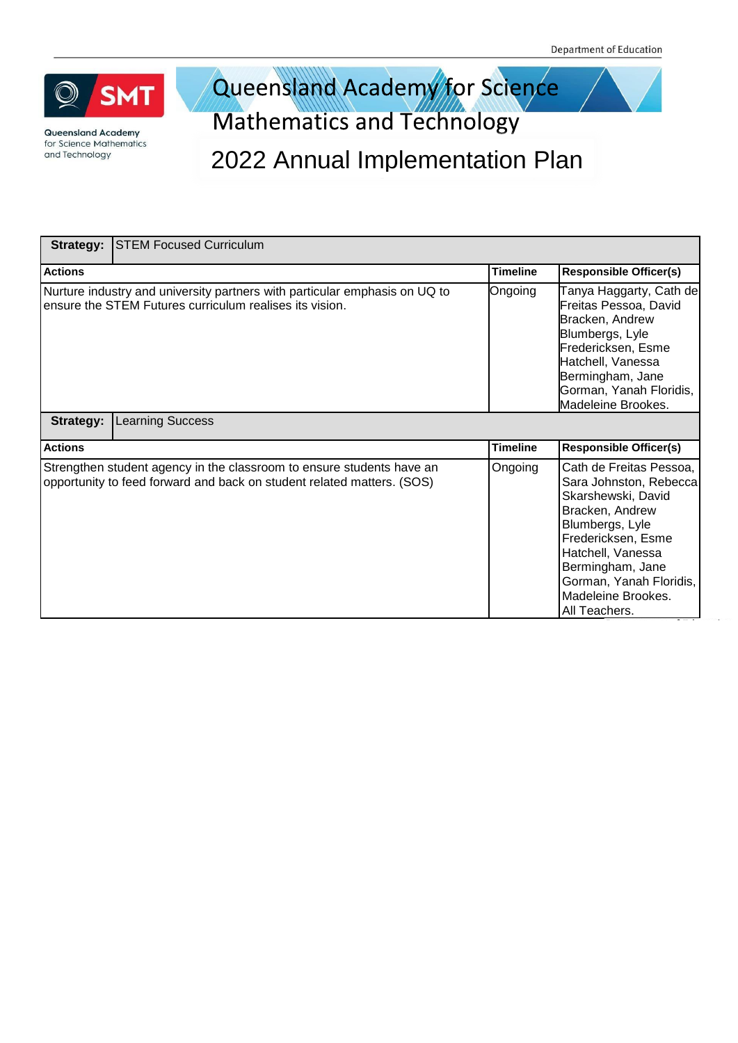

### Queensland Academy for Science **Mathematics and Technology**

| <b>Strategy:</b><br><b>STEM Focused Curriculum</b>                                                                                              |                 |                                                                                                                                                                                                                                                |
|-------------------------------------------------------------------------------------------------------------------------------------------------|-----------------|------------------------------------------------------------------------------------------------------------------------------------------------------------------------------------------------------------------------------------------------|
| <b>Actions</b>                                                                                                                                  | <b>Timeline</b> | <b>Responsible Officer(s)</b>                                                                                                                                                                                                                  |
| Nurture industry and university partners with particular emphasis on UQ to<br>ensure the STEM Futures curriculum realises its vision.           | Ongoing         | Tanya Haggarty, Cath de<br>Freitas Pessoa, David<br>Bracken, Andrew<br>Blumbergs, Lyle<br>Fredericksen, Esme<br>Hatchell, Vanessa<br>Bermingham, Jane<br>Gorman, Yanah Floridis,<br>Madeleine Brookes.                                         |
| <b>Learning Success</b><br><b>Strategy:</b>                                                                                                     |                 |                                                                                                                                                                                                                                                |
| <b>Actions</b>                                                                                                                                  | <b>Timeline</b> | <b>Responsible Officer(s)</b>                                                                                                                                                                                                                  |
| Strengthen student agency in the classroom to ensure students have an<br>opportunity to feed forward and back on student related matters. (SOS) | Ongoing         | Cath de Freitas Pessoa,<br>Sara Johnston, Rebecca<br>Skarshewski, David<br>Bracken, Andrew<br>Blumbergs, Lyle<br>Fredericksen, Esme<br>Hatchell, Vanessa<br>Bermingham, Jane<br>Gorman, Yanah Floridis,<br>Madeleine Brookes.<br>All Teachers. |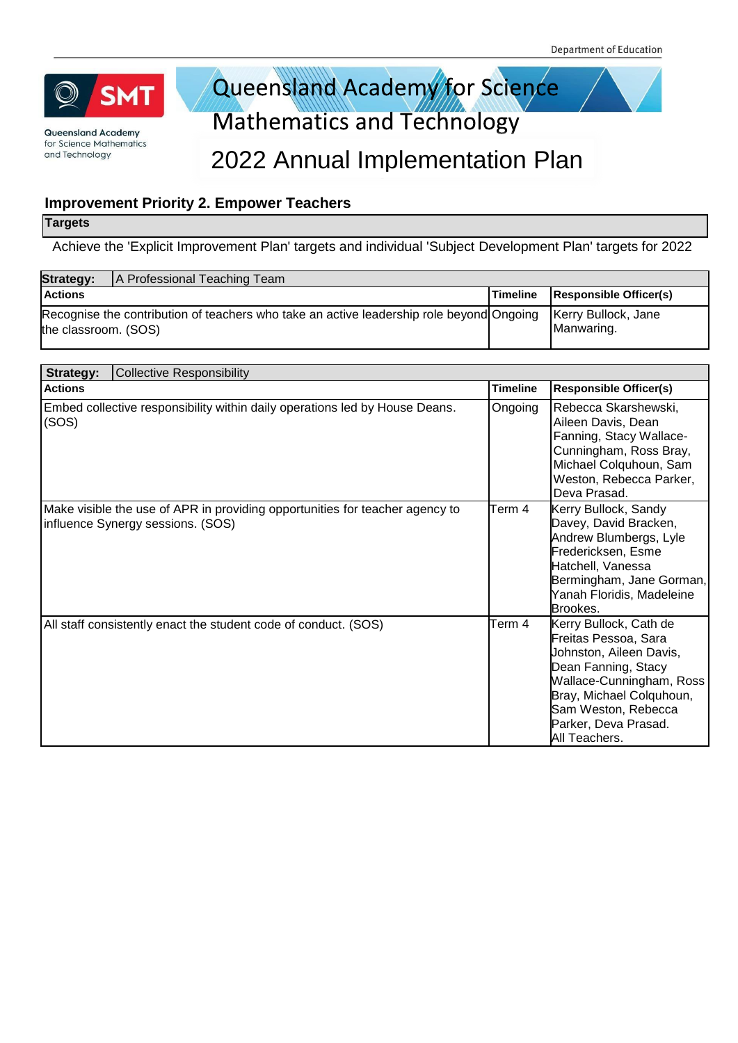

### Queensland Academy for Science **Mathematics and Technology**

#### 2022 Annual Implementation Plan

#### **Improvement Priority 2. Empower Teachers**

#### **Targets**

Achieve the 'Explicit Improvement Plan' targets and individual 'Subject Development Plan' targets for 2022

| <b>Strategy:</b>     | A Professional Teaching Team                                                             |                 |                                   |
|----------------------|------------------------------------------------------------------------------------------|-----------------|-----------------------------------|
| <b>Actions</b>       |                                                                                          | <b>Timeline</b> | <b>Responsible Officer(s)</b>     |
| the classroom. (SOS) | Recognise the contribution of teachers who take an active leadership role beyond Ongoing |                 | Kerry Bullock, Jane<br>Manwaring. |

| <b>Collective Responsibility</b><br>Strategy:                                                                     |                 |                                                                                                                                                                                                                          |  |  |
|-------------------------------------------------------------------------------------------------------------------|-----------------|--------------------------------------------------------------------------------------------------------------------------------------------------------------------------------------------------------------------------|--|--|
| <b>Actions</b>                                                                                                    | <b>Timeline</b> | <b>Responsible Officer(s)</b>                                                                                                                                                                                            |  |  |
| Embed collective responsibility within daily operations led by House Deans.<br>(SOS)                              | Ongoing         | Rebecca Skarshewski,<br>Aileen Davis, Dean<br>Fanning, Stacy Wallace-<br>Cunningham, Ross Bray,<br>Michael Colquhoun, Sam<br>Weston, Rebecca Parker,<br>Deva Prasad.                                                     |  |  |
| Make visible the use of APR in providing opportunities for teacher agency to<br>influence Synergy sessions. (SOS) | Term 4          | Kerry Bullock, Sandy<br>Davey, David Bracken,<br>Andrew Blumbergs, Lyle<br>Fredericksen, Esme<br>Hatchell, Vanessa<br>Bermingham, Jane Gorman,<br>Yanah Floridis, Madeleine<br>Brookes.                                  |  |  |
| All staff consistently enact the student code of conduct. (SOS)                                                   | Term 4          | Kerry Bullock, Cath de<br>Freitas Pessoa, Sara<br>Johnston, Aileen Davis,<br>Dean Fanning, Stacy<br>Wallace-Cunningham, Ross<br>Bray, Michael Colquhoun,<br>Sam Weston, Rebecca<br>Parker, Deva Prasad.<br>All Teachers. |  |  |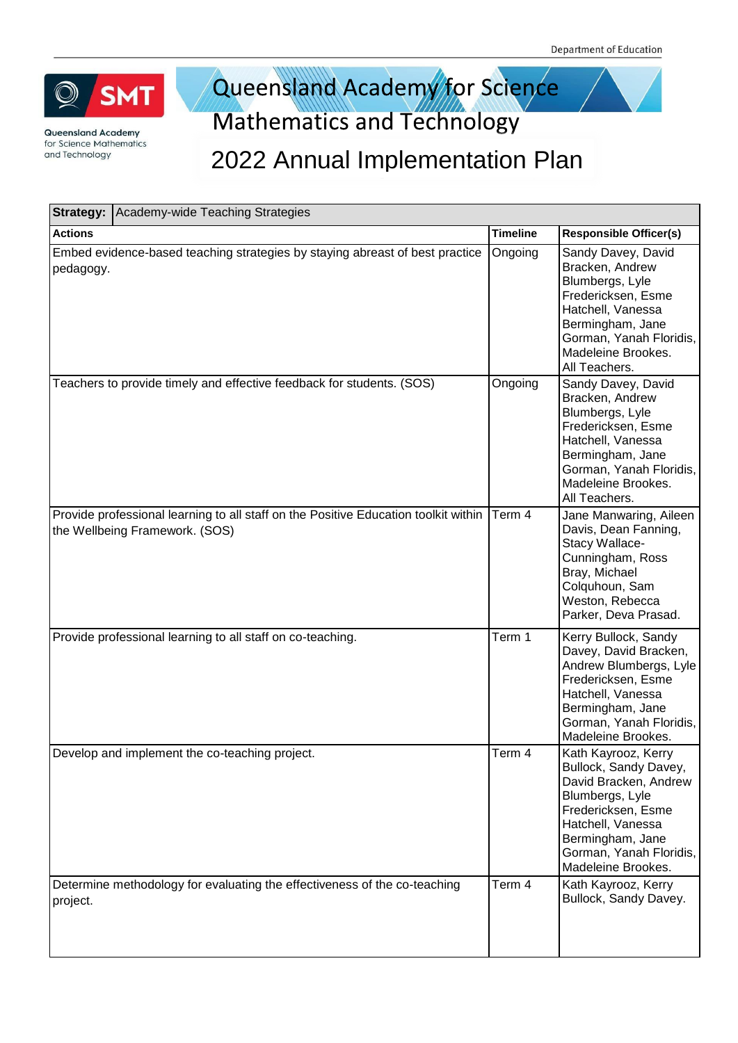

### Queensland Academy for Science **Mathematics and Technology**

|                | <b>Strategy:   Academy-wide Teaching Strategies</b>                                                                   |                 |                                                                                                                                                                                                          |  |
|----------------|-----------------------------------------------------------------------------------------------------------------------|-----------------|----------------------------------------------------------------------------------------------------------------------------------------------------------------------------------------------------------|--|
| <b>Actions</b> |                                                                                                                       | <b>Timeline</b> | <b>Responsible Officer(s)</b>                                                                                                                                                                            |  |
| pedagogy.      | Embed evidence-based teaching strategies by staying abreast of best practice                                          | Ongoing         | Sandy Davey, David<br>Bracken, Andrew<br>Blumbergs, Lyle<br>Fredericksen, Esme<br>Hatchell, Vanessa<br>Bermingham, Jane<br>Gorman, Yanah Floridis,<br>Madeleine Brookes.<br>All Teachers.                |  |
|                | Teachers to provide timely and effective feedback for students. (SOS)                                                 | Ongoing         | Sandy Davey, David<br>Bracken, Andrew<br>Blumbergs, Lyle<br>Fredericksen, Esme<br>Hatchell, Vanessa<br>Bermingham, Jane<br>Gorman, Yanah Floridis,<br>Madeleine Brookes.<br>All Teachers.                |  |
|                | Provide professional learning to all staff on the Positive Education toolkit within<br>the Wellbeing Framework. (SOS) | Term 4          | Jane Manwaring, Aileen<br>Davis, Dean Fanning,<br>Stacy Wallace-<br>Cunningham, Ross<br>Bray, Michael<br>Colquhoun, Sam<br>Weston, Rebecca<br>Parker, Deva Prasad.                                       |  |
|                | Provide professional learning to all staff on co-teaching.                                                            | Term 1          | Kerry Bullock, Sandy<br>Davey, David Bracken,<br>Andrew Blumbergs, Lyle<br>Fredericksen, Esme<br>Hatchell, Vanessa<br>Bermingham, Jane<br>Gorman, Yanah Floridis,<br>Madeleine Brookes.                  |  |
|                | Develop and implement the co-teaching project.                                                                        | Term 4          | Kath Kayrooz, Kerry<br>Bullock, Sandy Davey,<br>David Bracken, Andrew<br>Blumbergs, Lyle<br>Fredericksen, Esme<br>Hatchell, Vanessa<br>Bermingham, Jane<br>Gorman, Yanah Floridis,<br>Madeleine Brookes. |  |
| project.       | Determine methodology for evaluating the effectiveness of the co-teaching                                             | Term 4          | Kath Kayrooz, Kerry<br>Bullock, Sandy Davey.                                                                                                                                                             |  |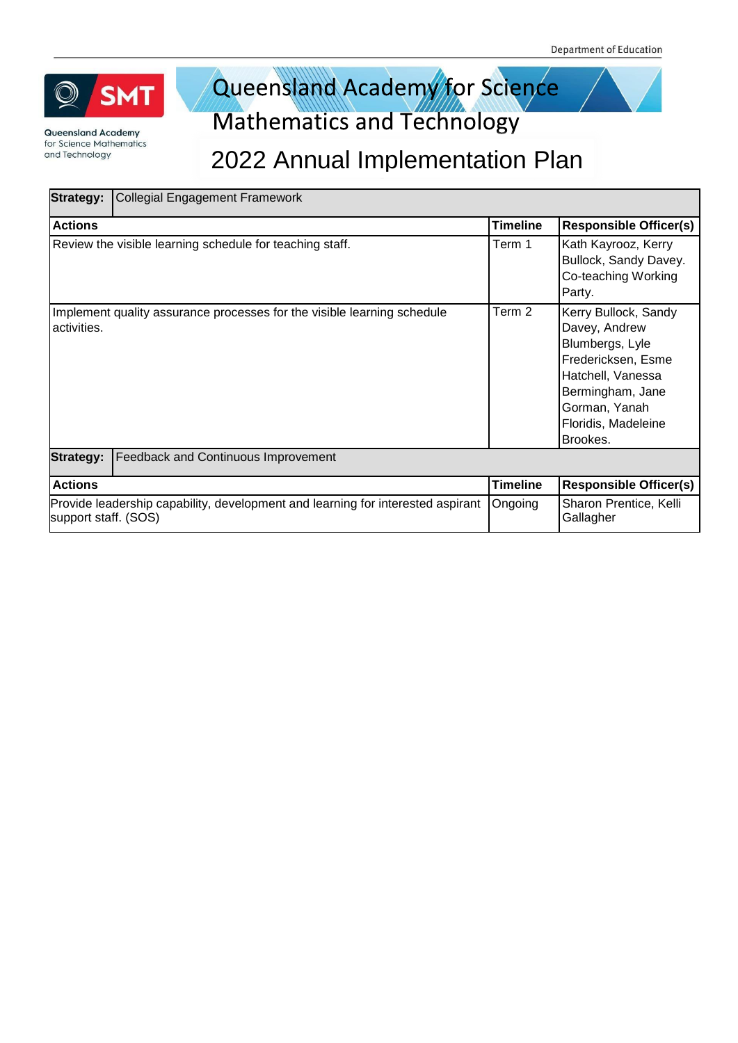

### Queensland Academy for Science **Mathematics and Technology**

| <b>Strategy:</b>     | <b>Collegial Engagement Framework</b>                                           |                 |                                                                                                                                                                             |
|----------------------|---------------------------------------------------------------------------------|-----------------|-----------------------------------------------------------------------------------------------------------------------------------------------------------------------------|
| <b>Actions</b>       |                                                                                 | Timeline        | <b>Responsible Officer(s)</b>                                                                                                                                               |
|                      | Review the visible learning schedule for teaching staff.                        | Term 1          | Kath Kayrooz, Kerry<br>Bullock, Sandy Davey.<br>Co-teaching Working<br>Party.                                                                                               |
| activities.          | Implement quality assurance processes for the visible learning schedule         | Term 2          | Kerry Bullock, Sandy<br>Davey, Andrew<br>Blumbergs, Lyle<br>Fredericksen, Esme<br>Hatchell, Vanessa<br>Bermingham, Jane<br>Gorman, Yanah<br>Floridis, Madeleine<br>Brookes. |
| <b>Strategy:</b>     | <b>Feedback and Continuous Improvement</b>                                      |                 |                                                                                                                                                                             |
| <b>Actions</b>       |                                                                                 | <b>Timeline</b> | <b>Responsible Officer(s)</b>                                                                                                                                               |
| support staff. (SOS) | Provide leadership capability, development and learning for interested aspirant | Ongoing         | Sharon Prentice, Kelli<br>Gallagher                                                                                                                                         |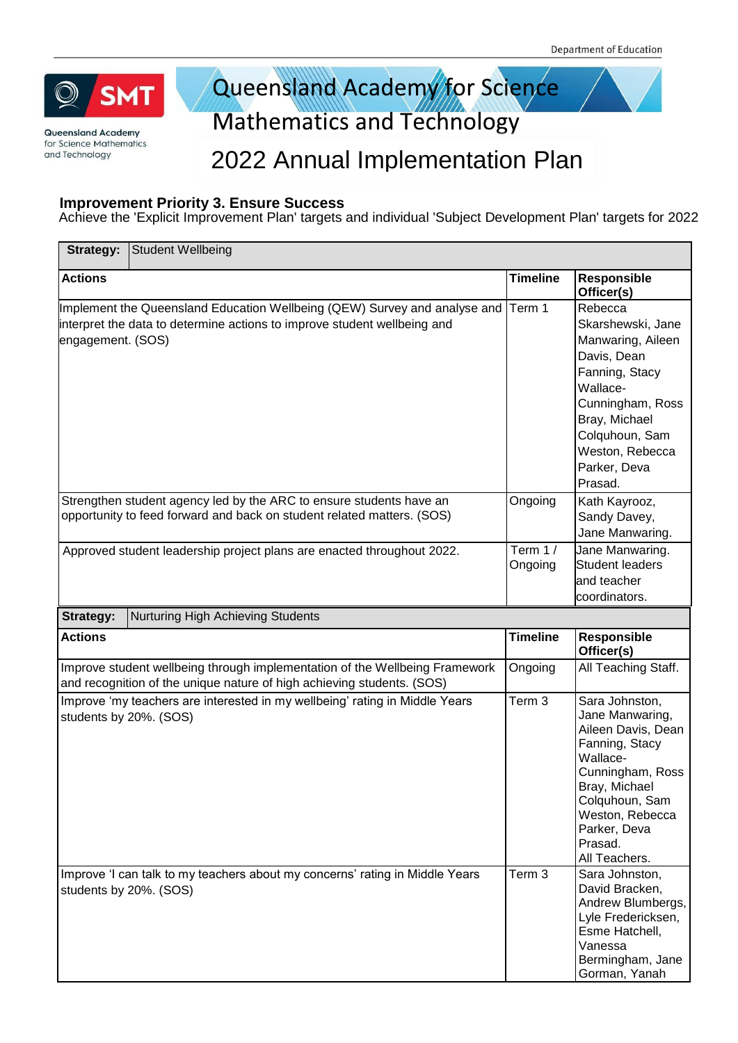

Queensland Academy for Science Mathematics and Technology

#### 2022 Annual Implementation Plan

#### **Improvement Priority 3. Ensure Success**

Achieve the 'Explicit Improvement Plan' targets and individual 'Subject Development Plan' targets for 2022

| Strategy:              | <b>Student Wellbeing</b>                                                                                                                              |                    |                                                                                                                                                                                                             |
|------------------------|-------------------------------------------------------------------------------------------------------------------------------------------------------|--------------------|-------------------------------------------------------------------------------------------------------------------------------------------------------------------------------------------------------------|
| <b>Actions</b>         |                                                                                                                                                       | <b>Timeline</b>    | Responsible<br>Officer(s)                                                                                                                                                                                   |
| engagement. (SOS)      | Implement the Queensland Education Wellbeing (QEW) Survey and analyse and<br>interpret the data to determine actions to improve student wellbeing and | Term 1             | Rebecca<br>Skarshewski, Jane<br>Manwaring, Aileen<br>Davis, Dean<br>Fanning, Stacy<br>Wallace-<br>Cunningham, Ross<br>Bray, Michael<br>Colquhoun, Sam<br>Weston, Rebecca<br>Parker, Deva<br>Prasad.         |
|                        | Strengthen student agency led by the ARC to ensure students have an<br>opportunity to feed forward and back on student related matters. (SOS)         | Ongoing            | Kath Kayrooz,<br>Sandy Davey,<br>Jane Manwaring.                                                                                                                                                            |
|                        | Approved student leadership project plans are enacted throughout 2022.                                                                                | Term 1/<br>Ongoing | Jane Manwaring.<br><b>Student leaders</b><br>and teacher<br>coordinators.                                                                                                                                   |
| Strategy:              | Nurturing High Achieving Students                                                                                                                     |                    |                                                                                                                                                                                                             |
| <b>Actions</b>         |                                                                                                                                                       | <b>Timeline</b>    | Responsible<br>Officer(s)                                                                                                                                                                                   |
|                        | Improve student wellbeing through implementation of the Wellbeing Framework<br>and recognition of the unique nature of high achieving students. (SOS) | Ongoing            | All Teaching Staff.                                                                                                                                                                                         |
| students by 20%. (SOS) | Improve 'my teachers are interested in my wellbeing' rating in Middle Years                                                                           | Term 3             | Sara Johnston,<br>Jane Manwaring,<br>Aileen Davis, Dean<br>Fanning, Stacy<br>Wallace-<br>Cunningham, Ross<br>Bray, Michael<br>Colquhoun, Sam<br>Weston, Rebecca<br>Parker, Deva<br>Prasad.<br>All Teachers. |
| students by 20%. (SOS) | Improve 'I can talk to my teachers about my concerns' rating in Middle Years                                                                          | Term 3             | Sara Johnston,<br>David Bracken,<br>Andrew Blumbergs,<br>Lyle Fredericksen,<br>Esme Hatchell,<br>Vanessa<br>Bermingham, Jane<br>Gorman, Yanah                                                               |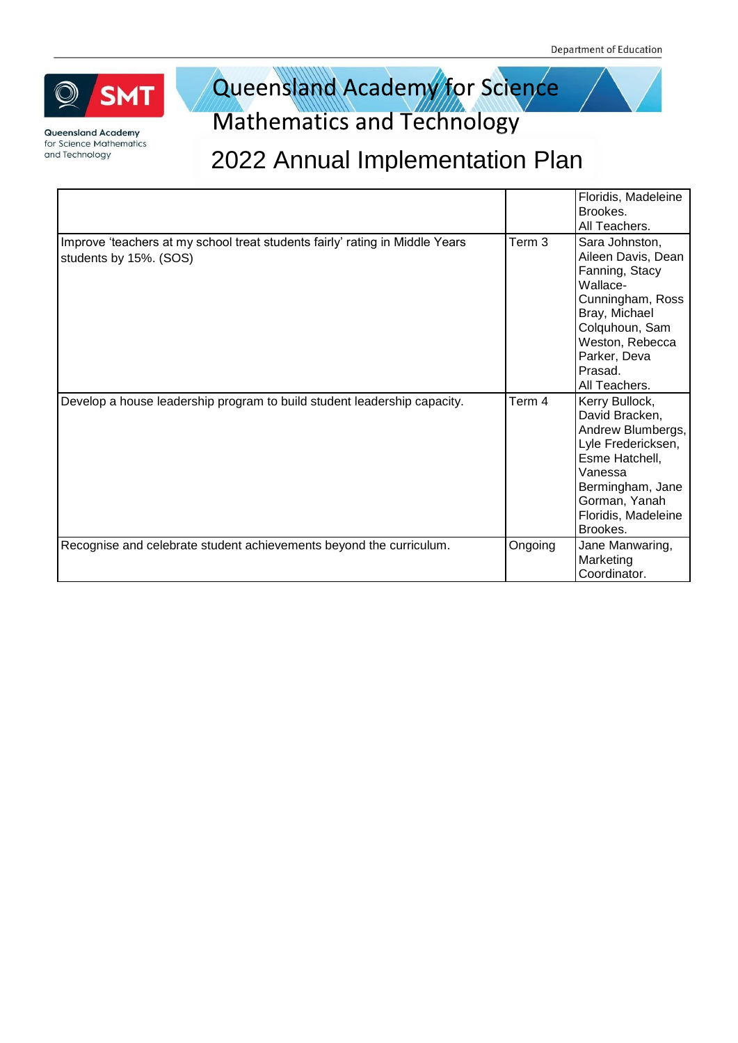

Queensland Academy for Science Mathematics and Technology

|                                                                                                        |         | Floridis, Madeleine<br>Brookes.<br>All Teachers.                                                                                                                                         |
|--------------------------------------------------------------------------------------------------------|---------|------------------------------------------------------------------------------------------------------------------------------------------------------------------------------------------|
| Improve 'teachers at my school treat students fairly' rating in Middle Years<br>students by 15%. (SOS) | Term 3  | Sara Johnston,<br>Aileen Davis, Dean<br>Fanning, Stacy<br>Wallace-<br>Cunningham, Ross<br>Bray, Michael<br>Colquhoun, Sam<br>Weston, Rebecca<br>Parker, Deva<br>Prasad.<br>All Teachers. |
| Develop a house leadership program to build student leadership capacity.                               | Term 4  | Kerry Bullock,<br>David Bracken,<br>Andrew Blumbergs,<br>Lyle Fredericksen,<br>Esme Hatchell,<br>Vanessa<br>Bermingham, Jane<br>Gorman, Yanah<br>Floridis, Madeleine<br>Brookes.         |
| Recognise and celebrate student achievements beyond the curriculum.                                    | Ongoing | Jane Manwaring,<br>Marketing<br>Coordinator.                                                                                                                                             |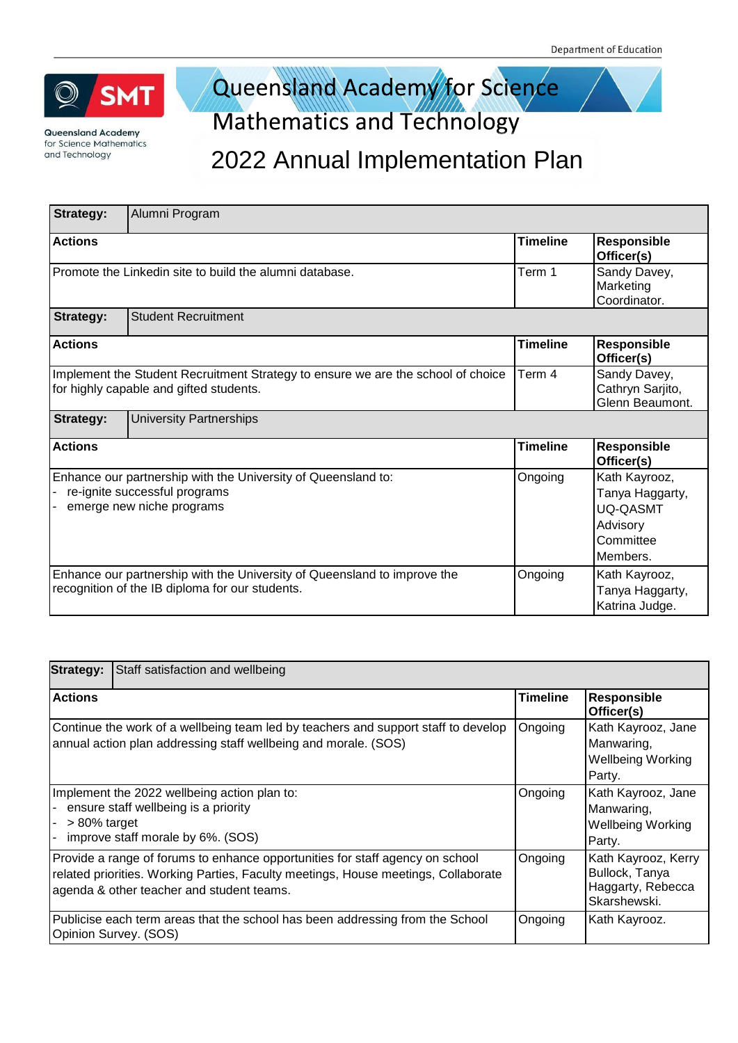

## Queensland Academy for Science

**Mathematics and Technology** 

| <b>Strategy:</b>                                                                                                                      | Alumni Program                                                                                                              |                                                     |                                                                                          |  |
|---------------------------------------------------------------------------------------------------------------------------------------|-----------------------------------------------------------------------------------------------------------------------------|-----------------------------------------------------|------------------------------------------------------------------------------------------|--|
| <b>Actions</b>                                                                                                                        |                                                                                                                             | <b>Timeline</b>                                     | Responsible<br>Officer(s)                                                                |  |
|                                                                                                                                       | Promote the Linkedin site to build the alumni database.                                                                     | Term 1                                              | Sandy Davey,<br>Marketing<br>Coordinator.                                                |  |
| <b>Strategy:</b>                                                                                                                      | <b>Student Recruitment</b>                                                                                                  |                                                     |                                                                                          |  |
| <b>Actions</b>                                                                                                                        |                                                                                                                             | <b>Timeline</b>                                     | Responsible<br>Officer(s)                                                                |  |
| Term 4<br>Implement the Student Recruitment Strategy to ensure we are the school of choice<br>for highly capable and gifted students. |                                                                                                                             | Sandy Davey,<br>Cathryn Sarjito,<br>Glenn Beaumont. |                                                                                          |  |
| <b>Strategy:</b>                                                                                                                      | <b>University Partnerships</b>                                                                                              |                                                     |                                                                                          |  |
| <b>Actions</b>                                                                                                                        |                                                                                                                             | <b>Timeline</b>                                     | <b>Responsible</b><br>Officer(s)                                                         |  |
| Enhance our partnership with the University of Queensland to:<br>re-ignite successful programs<br>emerge new niche programs           |                                                                                                                             | Ongoing                                             | Kath Kayrooz,<br>Tanya Haggarty,<br><b>UQ-QASMT</b><br>Advisory<br>Committee<br>Members. |  |
|                                                                                                                                       | Enhance our partnership with the University of Queensland to improve the<br>recognition of the IB diploma for our students. | Ongoing                                             | Kath Kayrooz,<br>Tanya Haggarty,<br>Katrina Judge.                                       |  |

| <b>Strategy:</b> | Staff satisfaction and wellbeing                                                                                                                                                                                 |                 |                                                                            |
|------------------|------------------------------------------------------------------------------------------------------------------------------------------------------------------------------------------------------------------|-----------------|----------------------------------------------------------------------------|
| <b>Actions</b>   |                                                                                                                                                                                                                  | <b>Timeline</b> | <b>Responsible</b><br>Officer(s)                                           |
|                  | Continue the work of a wellbeing team led by teachers and support staff to develop<br>annual action plan addressing staff wellbeing and morale. (SOS)                                                            | Ongoing         | Kath Kayrooz, Jane<br>Manwaring,<br><b>Wellbeing Working</b><br>Party.     |
| $>80\%$ target   | Implement the 2022 wellbeing action plan to:<br>ensure staff wellbeing is a priority<br>improve staff morale by 6%. (SOS)                                                                                        | Ongoing         | Kath Kayrooz, Jane<br>Manwaring,<br><b>Wellbeing Working</b><br>Party.     |
|                  | Provide a range of forums to enhance opportunities for staff agency on school<br>related priorities. Working Parties, Faculty meetings, House meetings, Collaborate<br>agenda & other teacher and student teams. | Ongoing         | Kath Kayrooz, Kerry<br>Bullock, Tanya<br>Haggarty, Rebecca<br>Skarshewski. |
|                  | Publicise each term areas that the school has been addressing from the School<br>Opinion Survey. (SOS)                                                                                                           | Ongoing         | Kath Kayrooz.                                                              |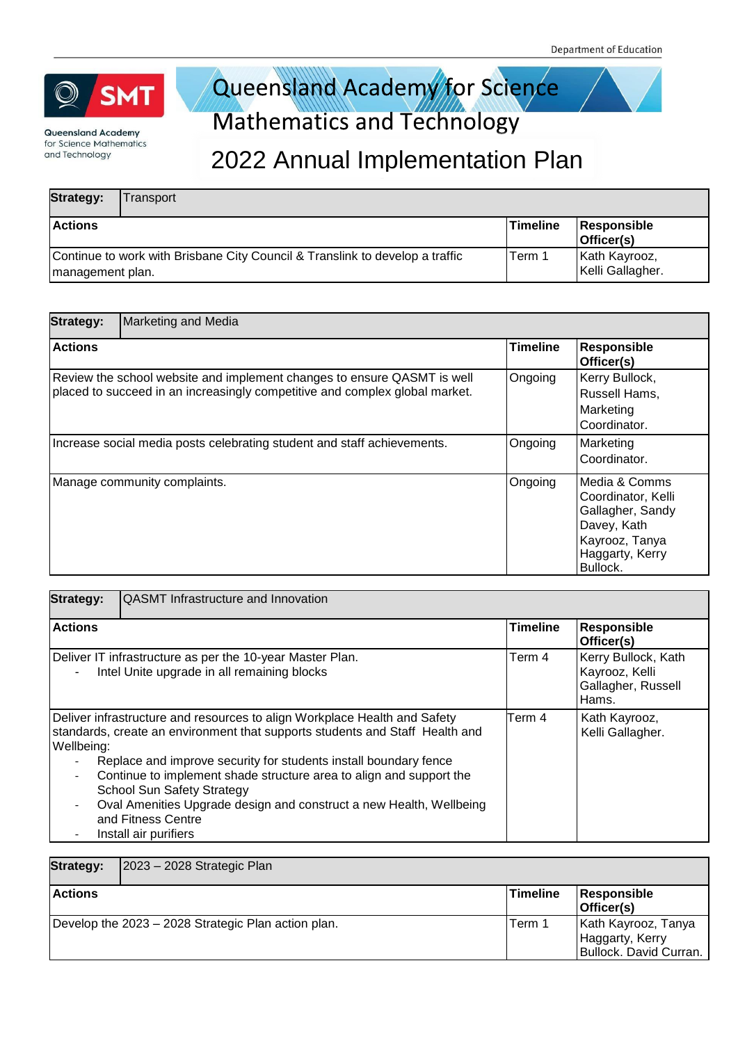

## Queensland Academy for Science

### **Mathematics and Technology**

| <b>Strategy:</b>                                                                                  | ransport |                 |                                   |
|---------------------------------------------------------------------------------------------------|----------|-----------------|-----------------------------------|
| <b>Actions</b>                                                                                    |          | <b>Timeline</b> | Responsible<br>Officer(s)         |
| Continue to work with Brisbane City Council & Translink to develop a traffic<br>Imanagement plan. |          | Term 1          | Kath Kayrooz,<br>Kelli Gallagher. |

| <b>Strategy:</b> | <b>Marketing and Media</b>                                                                                                                             |                 |                                                                                                                         |
|------------------|--------------------------------------------------------------------------------------------------------------------------------------------------------|-----------------|-------------------------------------------------------------------------------------------------------------------------|
| <b>Actions</b>   |                                                                                                                                                        | <b>Timeline</b> | Responsible<br>Officer(s)                                                                                               |
|                  | Review the school website and implement changes to ensure QASMT is well<br>placed to succeed in an increasingly competitive and complex global market. | Ongoing         | Kerry Bullock,<br>Russell Hams,<br>Marketing<br>Coordinator.                                                            |
|                  | Increase social media posts celebrating student and staff achievements.                                                                                | Ongoing         | Marketing<br>Coordinator.                                                                                               |
|                  | Manage community complaints.                                                                                                                           | Ongoing         | Media & Comms<br>Coordinator, Kelli<br>Gallagher, Sandy<br>Davey, Kath<br>Kayrooz, Tanya<br>Haggarty, Kerry<br>Bullock. |

| <b>Strategy:</b>                       | <b>QASMT</b> Infrastructure and Innovation                                                                                                                                                                                                                                                                                                                                                                                                                      |                 |                                                                      |
|----------------------------------------|-----------------------------------------------------------------------------------------------------------------------------------------------------------------------------------------------------------------------------------------------------------------------------------------------------------------------------------------------------------------------------------------------------------------------------------------------------------------|-----------------|----------------------------------------------------------------------|
| <b>Actions</b>                         |                                                                                                                                                                                                                                                                                                                                                                                                                                                                 | <b>Timeline</b> | Responsible<br>Officer(s)                                            |
|                                        | Deliver IT infrastructure as per the 10-year Master Plan.<br>Intel Unite upgrade in all remaining blocks                                                                                                                                                                                                                                                                                                                                                        | Term 4          | Kerry Bullock, Kath<br>Kayrooz, Kelli<br>Gallagher, Russell<br>Hams. |
| Wellbeing:<br>$\overline{\phantom{a}}$ | Deliver infrastructure and resources to align Workplace Health and Safety<br>standards, create an environment that supports students and Staff Health and<br>Replace and improve security for students install boundary fence<br>Continue to implement shade structure area to align and support the<br><b>School Sun Safety Strategy</b><br>Oval Amenities Upgrade design and construct a new Health, Wellbeing<br>and Fitness Centre<br>Install air purifiers | Term 4          | Kath Kayrooz,<br>Kelli Gallagher.                                    |

| <b>Strategy:</b> | $ 2023 - 2028$ Strategic Plan                       |                 |                                                                  |
|------------------|-----------------------------------------------------|-----------------|------------------------------------------------------------------|
| <b>Actions</b>   |                                                     | <b>Timeline</b> | Responsible<br>Officer(s)                                        |
|                  | Develop the 2023 - 2028 Strategic Plan action plan. | Term 1          | Kath Kayrooz, Tanya<br>Haggarty, Kerry<br>Bullock. David Curran. |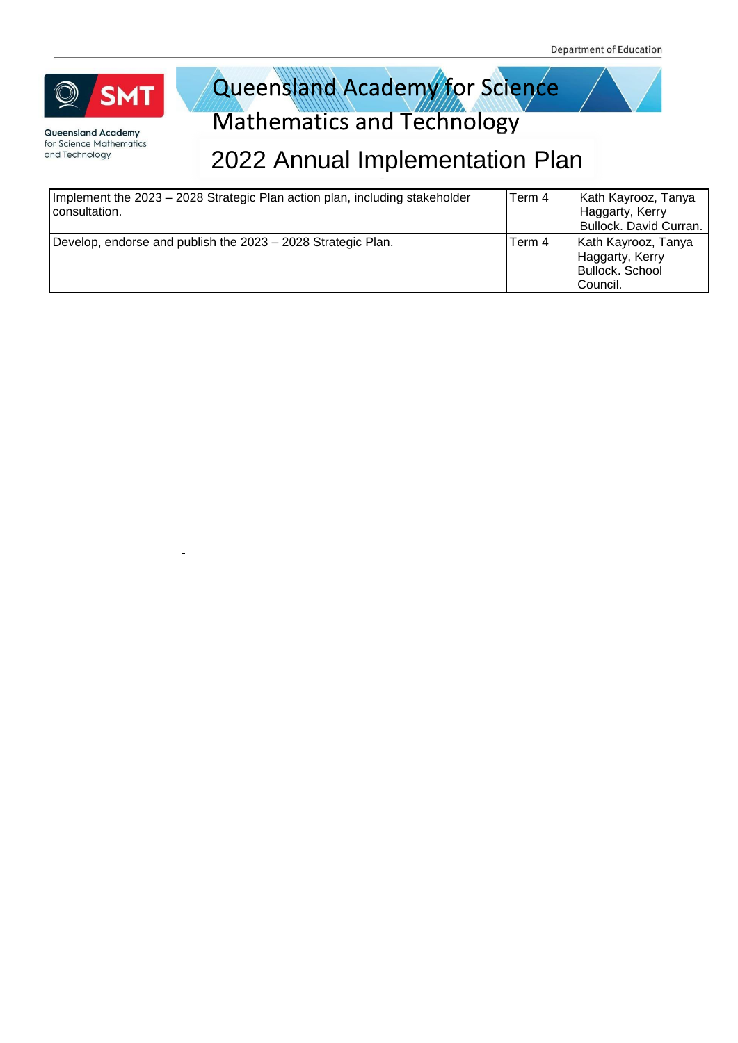

Queensland Academy for Science Mathematics and Technology

| Implement the 2023 - 2028 Strategic Plan action plan, including stakeholder<br>consultation. | Term 4 | Kath Kayrooz, Tanya<br>Haggarty, Kerry<br>Bullock. David Curran.      |
|----------------------------------------------------------------------------------------------|--------|-----------------------------------------------------------------------|
| Develop, endorse and publish the 2023 – 2028 Strategic Plan.                                 | Term 4 | Kath Kayrooz, Tanya<br>Haggarty, Kerry<br>Bullock. School<br>Council. |